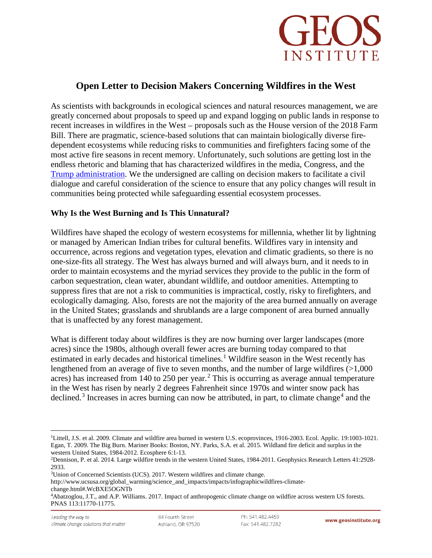

## **Open Letter to Decision Makers Concerning Wildfires in the West**

As scientists with backgrounds in ecological sciences and natural resources management, we are greatly concerned about proposals to speed up and expand logging on public lands in response to recent increases in wildfires in the West – proposals such as the House version of the 2018 Farm Bill. There are pragmatic, science-based solutions that can maintain biologically diverse firedependent ecosystems while reducing risks to communities and firefighters facing some of the most active fire seasons in recent memory. Unfortunately, such solutions are getting lost in the endless rhetoric and blaming that has characterized wildfires in the media, Congress, and the [Trump administration.](https://www.breitbart.com/big-government/2018/08/13/exclusive-zinke-environmental-terrorist-groups-western-us-wildfires/) We the undersigned are calling on decision makers to facilitate a civil dialogue and careful consideration of the science to ensure that any policy changes will result in communities being protected while safeguarding essential ecosystem processes.

## **Why Is the West Burning and Is This Unnatural?**

Wildfires have shaped the ecology of western ecosystems for millennia, whether lit by lightning or managed by American Indian tribes for cultural benefits. Wildfires vary in intensity and occurrence, across regions and vegetation types, elevation and climatic gradients, so there is no one-size-fits all strategy. The West has always burned and will always burn, and it needs to in order to maintain ecosystems and the myriad services they provide to the public in the form of carbon sequestration, clean water, abundant wildlife, and outdoor amenities. Attempting to suppress fires that are not a risk to communities is impractical, costly, risky to firefighters, and ecologically damaging. Also, forests are not the majority of the area burned annually on average in the United States; grasslands and shrublands are a large component of area burned annually that is unaffected by any forest management.

What is different today about wildfires is they are now burning over larger landscapes (more acres) since the 1980s, although overall fewer acres are burning today compared to that estimated in early decades and historical timelines.<sup>[1](#page-0-0)</sup> Wildfire season in the West recently has lengthened from an average of five to seven months, and the number of large wildfires  $(>1,000$ acres) has increased from 140 to [2](#page-0-1)50 per year.<sup>2</sup> This is occurring as average annual temperature in the West has risen by nearly 2 degrees Fahrenheit since 1970s and winter snow pack has declined.<sup>[3](#page-0-2)</sup> Increases in acres burning can now be attributed, in part, to climate change<sup>[4](#page-0-3)</sup> and the

<span id="page-0-2"></span>3Union of Concerned Scientists (UCS). 2017. Western wildfires and climate change.

http://www.ucsusa.org/global\_warming/science\_and\_impacts/impacts/infographicwildfires-climatechange.html#.WcBXE5OGNTb

<span id="page-0-0"></span><sup>&</sup>lt;sup>1</sup>Littell, J.S. et al. 2009. Climate and wildfire area burned in western U.S. ecoprovinces, 1916-2003. Ecol. Applic. 19:1003-1021. Egan, T. 2009. The Big Burn. Mariner Books: Boston, NY. Parks, S.A. et al. 2015. Wildland fire deficit and surplus in the

<span id="page-0-1"></span><sup>&</sup>lt;sup>2</sup>Dennison, P. et al. 2014. Large wildfire trends in the western United States, 1984-2011. Geophysics Research Letters 41:2928-2933.

<span id="page-0-3"></span><sup>4</sup>Abatzoglou, J.T., and A.P. Williams. 2017. Impact of anthropogenic climate change on wildfire across western US forests. PNAS 113:11770-11775.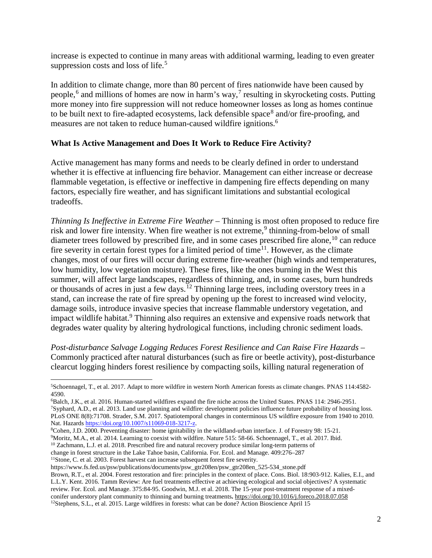increase is expected to continue in many areas with additional warming, leading to even greater suppression costs and loss of life.<sup>[5](#page-1-0)</sup>

In addition to climate change, more than 80 percent of fires nationwide have been caused by people,<sup>[6](#page-1-1)</sup> and millions of homes are now in harm's way,<sup>[7](#page-1-2)</sup> resulting in skyrocketing costs. Putting more money into fire suppression will not reduce homeowner losses as long as homes continue to be built next to fire-adapted ecosystems, lack defensible space<sup>[8](#page-1-3)</sup> and/or fire-proofing, and measures are not taken to reduce human-caused wildfire ignitions.<sup>6</sup>

## **What Is Active Management and Does It Work to Reduce Fire Activity?**

Active management has many forms and needs to be clearly defined in order to understand whether it is effective at influencing fire behavior. Management can either increase or decrease flammable vegetation, is effective or ineffective in dampening fire effects depending on many factors, especially fire weather, and has significant limitations and substantial ecological tradeoffs.

*Thinning Is Ineffective in Extreme Fire Weather* – Thinning is most often proposed to reduce fire risk and lower fire intensity. When fire weather is not extreme,<sup>[9](#page-1-4)</sup> thinning-from-below of small diameter trees followed by prescribed fire, and in some cases prescribed fire alone,<sup>[10](#page-1-5)</sup> can reduce fire severity in certain forest types for a limited period of time<sup>[11](#page-1-6)</sup>. However, as the climate changes, most of our fires will occur during extreme fire-weather (high winds and temperatures, low humidity, low vegetation moisture). These fires, like the ones burning in the West this summer, will affect large landscapes, regardless of thinning, and, in some cases, burn hundreds or thousands of acres in just a few days.<sup>[12](#page-1-7)</sup> Thinning large trees, including overstory trees in a stand, can increase the rate of fire spread by opening up the forest to increased wind velocity, damage soils, introduce invasive species that increase flammable understory vegetation, and impact wildlife habitat.<sup>9</sup> Thinning also requires an extensive and expensive roads network that degrades water quality by altering hydrological functions, including chronic sediment loads.

*Post-disturbance Salvage Logging Reduces Forest Resilience and Can Raise Fire Hazards* – Commonly practiced after natural disturbances (such as fire or beetle activity), post-disturbance clearcut logging hinders forest resilience by compacting soils, killing natural regeneration of

<span id="page-1-4"></span><span id="page-1-3"></span>9Moritz, M.A., et al. 2014. Learning to coexist with wildfire. Nature 515: 58-66. Schoennagel, T., et al. 2017. Ibid.

<span id="page-1-5"></span><sup>10</sup> Zachmann, L.J. et al. 2018. Prescribed fire and natural recovery produce similar long-term patterns of

change in forest structure in the Lake Tahoe basin, California. For. Ecol. and Manage. 409:276–287

<span id="page-1-6"></span><sup>11</sup>Stone, C. et al. 2003. Forest harvest can increase subsequent forest fire severity.

<span id="page-1-0"></span> <sup>5</sup>Schoennagel, T., et al. 2017. Adapt to more wildfire in western North American forests as climate changes. PNAS 114:4582- 4590.

<span id="page-1-2"></span><span id="page-1-1"></span><sup>&</sup>lt;sup>6</sup>Balch, J.K., et al. 2016. Human-started wildfires expand the fire niche across the United States. PNAS 114: 2946-2951.<br><sup>7</sup>Syphard, A.D., et al. 2013. Land use planning and wildfire: development policies influence future PLoS ONE 8(8):71708. Strader, S.M. 2017. Spatiotemporal changes in conterminous US wildfire exposure from 1940 to 2010.<br>Nat. Hazards https://doi.org/10.1007/s11069-018-3217-z.

Nat. Hazards <u>https://doi.org/10.1007/s11069-018-3217-z</u>.<br><sup>8</sup>Cohen, J.D. 2000. Preventing disaster: home ignitability in the wildland-urban interface. J. of Forestry 98: 15-21.

https://www.fs.fed.us/psw/publications/documents/psw\_gtr208en/psw\_gtr208en\_525-534\_stone.pdf

<span id="page-1-7"></span>Brown, R.T., et al. 2004. Forest restoration and fire: principles in the context of place. Cons. Biol. 18:903-912. Kalies, E.I., and L.L.Y. Kent. 2016. Tamm Review: Are fuel treatments effective at achieving ecological and social objectives? A systematic review. For. Ecol. and Manage. 375:84-95. Goodwin, M.J. et al. 2018. The 15-year post-treatment response of a mixedconifer understory plant community to thinning and burning treatments**.** <https://doi.org/10.1016/j.foreco.2018.07.058> <sup>12</sup>Stephens, S.L., et al. 2015. Large wildfires in forests: what can be done? Action Bioscience April 15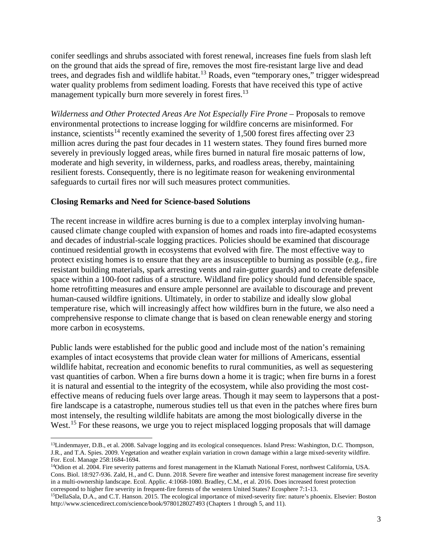conifer seedlings and shrubs associated with forest renewal, increases fine fuels from slash left on the ground that aids the spread of fire, removes the most fire-resistant large live and dead trees, and degrades fish and wildlife habitat.<sup>[13](#page-2-0)</sup> Roads, even "temporary ones," trigger widespread water quality problems from sediment loading. Forests that have received this type of active management typically burn more severely in forest fires.<sup>13</sup>

*Wilderness and Other Protected Areas Are Not Especially Fire Prone* – Proposals to remove environmental protections to increase logging for wildfire concerns are misinformed. For instance, scientists<sup>[14](#page-2-1)</sup> recently examined the severity of 1,500 forest fires affecting over 23 million acres during the past four decades in 11 western states. They found fires burned more severely in previously logged areas, while fires burned in natural fire mosaic patterns of low, moderate and high severity, in wilderness, parks, and roadless areas, thereby, maintaining resilient forests. Consequently, there is no legitimate reason for weakening environmental safeguards to curtail fires nor will such measures protect communities.

## **Closing Remarks and Need for Science-based Solutions**

The recent increase in wildfire acres burning is due to a complex interplay involving humancaused climate change coupled with expansion of homes and roads into fire-adapted ecosystems and decades of industrial-scale logging practices. Policies should be examined that discourage continued residential growth in ecosystems that evolved with fire. The most effective way to protect existing homes is to ensure that they are as insusceptible to burning as possible (e.g., fire resistant building materials, spark arresting vents and rain-gutter guards) and to create defensible space within a 100-foot radius of a structure. Wildland fire policy should fund defensible space, home retrofitting measures and ensure ample personnel are available to discourage and prevent human-caused wildfire ignitions. Ultimately, in order to stabilize and ideally slow global temperature rise, which will increasingly affect how wildfires burn in the future, we also need a comprehensive response to climate change that is based on clean renewable energy and storing more carbon in ecosystems.

Public lands were established for the public good and include most of the nation's remaining examples of intact ecosystems that provide clean water for millions of Americans, essential wildlife habitat, recreation and economic benefits to rural communities, as well as sequestering vast quantities of carbon. When a fire burns down a home it is tragic; when fire burns in a forest it is natural and essential to the integrity of the ecosystem, while also providing the most costeffective means of reducing fuels over large areas. Though it may seem to laypersons that a postfire landscape is a catastrophe, numerous studies tell us that even in the patches where fires burn most intensely, the resulting wildlife habitats are among the most biologically diverse in the West.<sup>[15](#page-2-2)</sup> For these reasons, we urge you to reject misplaced logging proposals that will damage

<span id="page-2-0"></span><sup>&</sup>lt;sup>13</sup>Lindenmayer, D.B., et al. 2008. Salvage logging and its ecological consequences. Island Press: Washington, D.C. Thompson, J.R., and T.A. Spies. 2009. Vegetation and weather explain variation in crown damage within a large mixed-severity wildfire.

<span id="page-2-1"></span><sup>&</sup>lt;sup>14</sup>Odion et al. 2004. Fire severity patterns and forest management in the Klamath National Forest, northwest California, USA. Cons. Biol. 18:927-936. Zald, H., and C. Dunn. 2018. Severe fire weather and intensive forest management increase fire severity in a multi-ownership landscape. Ecol. Applic. 4:1068-1080. Bradley, C.M., et al. 2016. Does increased forest protection correspond to higher fire severity in frequent-fire forests of the western United States? Ecosphere 7:1-13.

<span id="page-2-2"></span><sup>15</sup>DellaSala, D.A., and C.T. Hanson. 2015. The ecological importance of mixed-severity fire: nature's phoenix. Elsevier: Boston http://www.sciencedirect.com/science/book/9780128027493 (Chapters 1 through 5, and 11).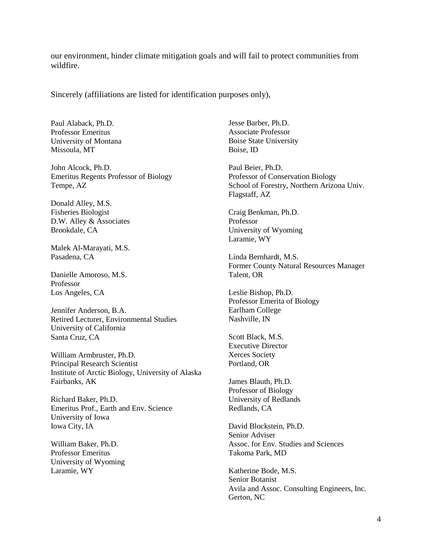our environment, hinder climate mitigation goals and will fail to protect communities from wildfire.

Sincerely (affiliations are listed for identification purposes only),

Paul Alaback, Ph.D. Professor Emeritus University of Montana Missoula, MT

John Alcock, Ph.D. Emeritus Regents Professor of Biology Tempe, AZ

Donald Alley, M.S. Fisheries Biologist D.W. Alley & Associates Brookdale, CA

Malek Al-Marayati, M.S. Pasadena, CA

Danielle Amoroso, M.S. Professor Los Angeles, CA

Jennifer Anderson, B.A. Retired Lecturer, Environmental Studies University of California Santa Cruz, CA

William Armbruster, Ph.D. Principal Research Scientist Institute of Arctic Biology, University of Alaska Fairbanks, AK

Richard Baker, Ph.D. Emeritus Prof., Earth and Env. Science University of Iowa Iowa City, IA

William Baker, Ph.D. Professor Emeritus University of Wyoming Laramie, WY

Jesse Barber, Ph.D. Associate Professor Boise State University Boise, ID

Paul Beier, Ph.D. Professor of Conservation Biology School of Forestry, Northern Arizona Univ. Flagstaff, AZ

Craig Benkman, Ph.D. Professor University of Wyoming Laramie, WY

Linda Bernhardt, M.S. Former County Natural Resources Manager Talent, OR

Leslie Bishop, Ph.D. Professor Emerita of Biology Earlham College Nashville, IN

Scott Black, M.S. Executive Director Xerces Society Portland, OR

James Blauth, Ph.D. Professor of Biology University of Redlands Redlands, CA

David Blockstein, Ph.D. Senior Adviser Assoc. for Env. Studies and Sciences Takoma Park, MD

Katherine Bode, M.S. Senior Botanist Avila and Assoc. Consulting Engineers, Inc. Gerton, NC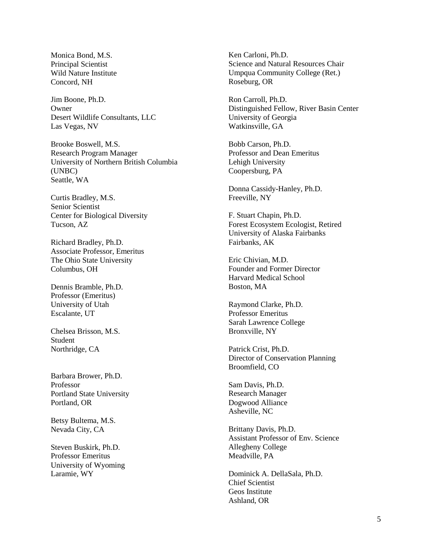Monica Bond, M.S. Principal Scientist Wild Nature Institute Concord, NH

Jim Boone, Ph.D. Owner Desert Wildlife Consultants, LLC Las Vegas, NV

Brooke Boswell, M.S. Research Program Manager University of Northern British Columbia (UNBC) Seattle, WA

Curtis Bradley, M.S. Senior Scientist Center for Biological Diversity Tucson, AZ

Richard Bradley, Ph.D. Associate Professor, Emeritus The Ohio State University Columbus, OH

Dennis Bramble, Ph.D. Professor (Emeritus) University of Utah Escalante, UT

Chelsea Brisson, M.S. Student Northridge, CA

Barbara Brower, Ph.D. Professor Portland State University Portland, OR

Betsy Bultema, M.S. Nevada City, CA

Steven Buskirk, Ph.D. Professor Emeritus University of Wyoming Laramie, WY

Ken Carloni, Ph.D. Science and Natural Resources Chair Umpqua Community College (Ret.) Roseburg, OR

Ron Carroll, Ph.D. Distinguished Fellow, River Basin Center University of Georgia Watkinsville, GA

Bobb Carson, Ph.D. Professor and Dean Emeritus Lehigh University Coopersburg, PA

Donna Cassidy-Hanley, Ph.D. Freeville, NY

F. Stuart Chapin, Ph.D. Forest Ecosystem Ecologist, Retired University of Alaska Fairbanks Fairbanks, AK

Eric Chivian, M.D. Founder and Former Director Harvard Medical School Boston, MA

Raymond Clarke, Ph.D. Professor Emeritus Sarah Lawrence College Bronxville, NY

Patrick Crist, Ph.D. Director of Conservation Planning Broomfield, CO

Sam Davis, Ph.D. Research Manager Dogwood Alliance Asheville, NC

Brittany Davis, Ph.D. Assistant Professor of Env. Science Allegheny College Meadville, PA

Dominick A. DellaSala, Ph.D. Chief Scientist Geos Institute Ashland, OR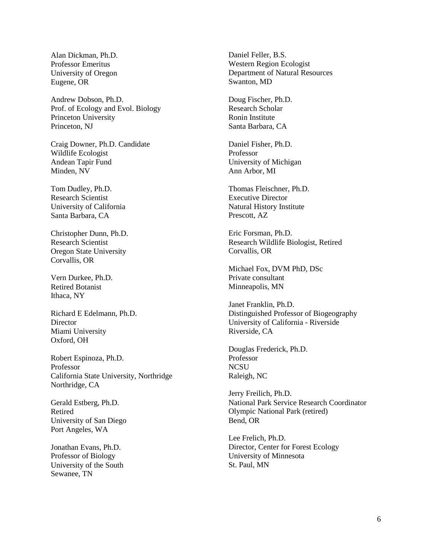Alan Dickman, Ph.D. Professor Emeritus University of Oregon Eugene, OR

Andrew Dobson, Ph.D. Prof. of Ecology and Evol. Biology Princeton University Princeton, NJ

Craig Downer, Ph.D. Candidate Wildlife Ecologist Andean Tapir Fund Minden, NV

Tom Dudley, Ph.D. Research Scientist University of California Santa Barbara, CA

Christopher Dunn, Ph.D. Research Scientist Oregon State University Corvallis, OR

Vern Durkee, Ph.D. Retired Botanist Ithaca, NY

Richard E Edelmann, Ph.D. **Director** Miami University Oxford, OH

Robert Espinoza, Ph.D. Professor California State University, Northridge Northridge, CA

Gerald Estberg, Ph.D. Retired University of San Diego Port Angeles, WA

Jonathan Evans, Ph.D. Professor of Biology University of the South Sewanee, TN

Daniel Feller, B.S. Western Region Ecologist Department of Natural Resources Swanton, MD

Doug Fischer, Ph.D. Research Scholar Ronin Institute Santa Barbara, CA

Daniel Fisher, Ph.D. Professor University of Michigan Ann Arbor, MI

Thomas Fleischner, Ph.D. Executive Director Natural History Institute Prescott, AZ

Eric Forsman, Ph.D. Research Wildlife Biologist, Retired Corvallis, OR

Michael Fox, DVM PhD, DSc Private consultant Minneapolis, MN

Janet Franklin, Ph.D. Distinguished Professor of Biogeography University of California - Riverside Riverside, CA

Douglas Frederick, Ph.D. Professor **NCSU** Raleigh, NC

Jerry Freilich, Ph.D. National Park Service Research Coordinator Olympic National Park (retired) Bend, OR

Lee Frelich, Ph.D. Director, Center for Forest Ecology University of Minnesota St. Paul, MN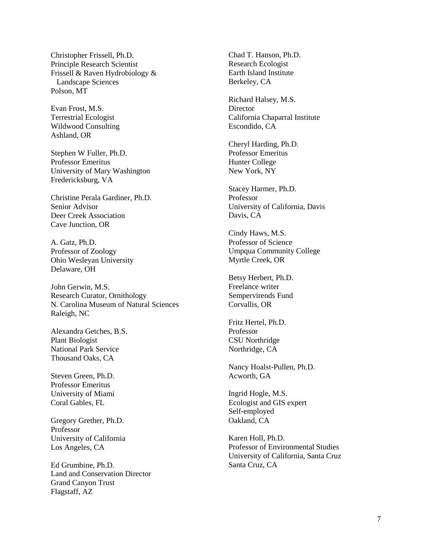Christopher Frissell, Ph.D. Principle Research Scientist Frissell & Raven Hydrobiology & Landscape Sciences Polson, MT

Evan Frost, M.S. Terrestrial Ecologist Wildwood Consulting Ashland, OR

Stephen W Fuller, Ph.D. Professor Emeritus University of Mary Washington Fredericksburg, VA

Christine Perala Gardiner, Ph.D. Senior Advisor Deer Creek Association Cave Junction, OR

A. Gatz, Ph.D. Professor of Zoology Ohio Wesleyan University Delaware, OH

John Gerwin, M.S. Research Curator, Ornithology N. Carolina Museum of Natural Sciences Raleigh, NC

Alexandra Getches, B.S. Plant Biologist National Park Service Thousand Oaks, CA

Steven Green, Ph.D. Professor Emeritus University of Miami Coral Gables, FL

Gregory Grether, Ph.D. Professor University of California Los Angeles, CA

Ed Grumbine, Ph.D. Land and Conservation Director Grand Canyon Trust Flagstaff, AZ

Chad T. Hanson, Ph.D. Research Ecologist Earth Island Institute Berkeley, CA

Richard Halsey, M.S. **Director** California Chaparral Institute Escondido, CA

Cheryl Harding, Ph.D. Professor Emeritus Hunter College New York, NY

Stacey Harmer, Ph.D. Professor University of California, Davis Davis, CA

Cindy Haws, M.S. Professor of Science Umpqua Community College Myrtle Creek, OR

Betsy Herbert, Ph.D. Freelance writer Sempervirends Fund Corvallis, OR

Fritz Hertel, Ph.D. Professor CSU Northridge Northridge, CA

Nancy Hoalst-Pullen, Ph.D. Acworth, GA

Ingrid Hogle, M.S. Ecologist and GIS expert Self-employed Oakland, CA

Karen Holl, Ph.D. Professor of Environmental Studies University of California, Santa Cruz Santa Cruz, CA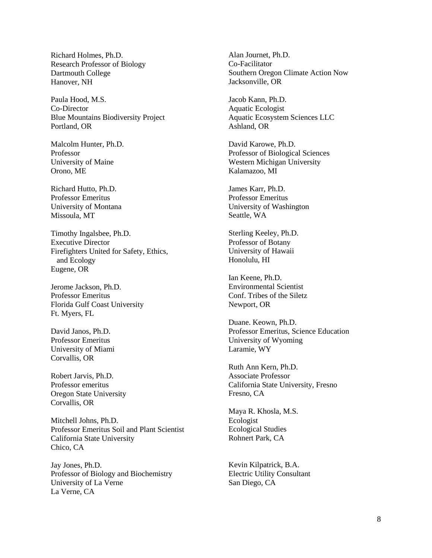Richard Holmes, Ph.D. Research Professor of Biology Dartmouth College Hanover, NH

Paula Hood, M.S. Co-Director Blue Mountains Biodiversity Project Portland, OR

Malcolm Hunter, Ph.D. Professor University of Maine Orono, ME

Richard Hutto, Ph.D. Professor Emeritus University of Montana Missoula, MT

Timothy Ingalsbee, Ph.D. Executive Director Firefighters United for Safety, Ethics, and Ecology Eugene, OR

Jerome Jackson, Ph.D. Professor Emeritus Florida Gulf Coast University Ft. Myers, FL

David Janos, Ph.D. Professor Emeritus University of Miami Corvallis, OR

Robert Jarvis, Ph.D. Professor emeritus Oregon State University Corvallis, OR

Mitchell Johns, Ph.D. Professor Emeritus Soil and Plant Scientist California State University Chico, CA

Jay Jones, Ph.D. Professor of Biology and Biochemistry University of La Verne La Verne, CA

Alan Journet, Ph.D. Co-Facilitator Southern Oregon Climate Action Now Jacksonville, OR

Jacob Kann, Ph.D. Aquatic Ecologist Aquatic Ecosystem Sciences LLC Ashland, OR

David Karowe, Ph.D. Professor of Biological Sciences Western Michigan University Kalamazoo, MI

James Karr, Ph.D. Professor Emeritus University of Washington Seattle, WA

Sterling Keeley, Ph.D. Professor of Botany University of Hawaii Honolulu, HI

Ian Keene, Ph.D. Environmental Scientist Conf. Tribes of the Siletz Newport, OR

Duane. Keown, Ph.D. Professor Emeritus, Science Education University of Wyoming Laramie, WY

Ruth Ann Kern, Ph.D. Associate Professor California State University, Fresno Fresno, CA

Maya R. Khosla, M.S. Ecologist Ecological Studies Rohnert Park, CA

Kevin Kilpatrick, B.A. Electric Utility Consultant San Diego, CA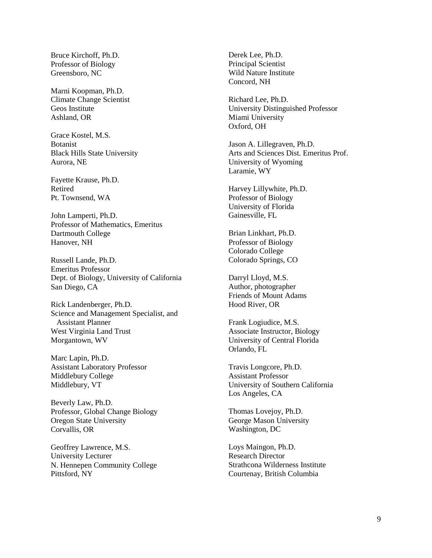Bruce Kirchoff, Ph.D. Professor of Biology Greensboro, NC

Marni Koopman, Ph.D. Climate Change Scientist Geos Institute Ashland, OR

Grace Kostel, M.S. Botanist Black Hills State University Aurora, NE

Fayette Krause, Ph.D. Retired Pt. Townsend, WA

John Lamperti, Ph.D. Professor of Mathematics, Emeritus Dartmouth College Hanover, NH

Russell Lande, Ph.D. Emeritus Professor Dept. of Biology, University of California San Diego, CA

Rick Landenberger, Ph.D. Science and Management Specialist, and Assistant Planner West Virginia Land Trust Morgantown, WV

Marc Lapin, Ph.D. Assistant Laboratory Professor Middlebury College Middlebury, VT

Beverly Law, Ph.D. Professor, Global Change Biology Oregon State University Corvallis, OR

Geoffrey Lawrence, M.S. University Lecturer N. Hennepen Community College Pittsford, NY

Derek Lee, Ph.D. Principal Scientist Wild Nature Institute Concord, NH

Richard Lee, Ph.D. University Distinguished Professor Miami University Oxford, OH

Jason A. Lillegraven, Ph.D. Arts and Sciences Dist. Emeritus Prof. University of Wyoming Laramie, WY

Harvey Lillywhite, Ph.D. Professor of Biology University of Florida Gainesville, FL

Brian Linkhart, Ph.D. Professor of Biology Colorado College Colorado Springs, CO

Darryl Lloyd, M.S. Author, photographer Friends of Mount Adams Hood River, OR

Frank Logiudice, M.S. Associate Instructor, Biology University of Central Florida Orlando, FL

Travis Longcore, Ph.D. Assistant Professor University of Southern California Los Angeles, CA

Thomas Lovejoy, Ph.D. George Mason University Washington, DC

Loys Maingon, Ph.D. Research Director Strathcona Wilderness Institute Courtenay, British Columbia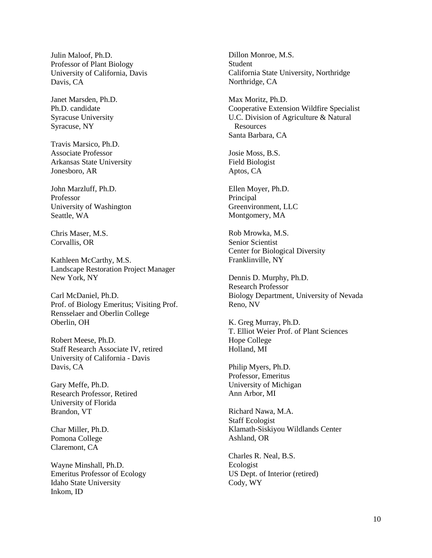Julin Maloof, Ph.D. Professor of Plant Biology University of California, Davis Davis, CA

Janet Marsden, Ph.D. Ph.D. candidate Syracuse University Syracuse, NY

Travis Marsico, Ph.D. Associate Professor Arkansas State University Jonesboro, AR

John Marzluff, Ph.D. Professor University of Washington Seattle, WA

Chris Maser, M.S. Corvallis, OR

Kathleen McCarthy, M.S. Landscape Restoration Project Manager New York, NY

Carl McDaniel, Ph.D. Prof. of Biology Emeritus; Visiting Prof. Rensselaer and Oberlin College Oberlin, OH

Robert Meese, Ph.D. Staff Research Associate IV, retired University of California - Davis Davis, CA

Gary Meffe, Ph.D. Research Professor, Retired University of Florida Brandon, VT

Char Miller, Ph.D. Pomona College Claremont, CA

Wayne Minshall, Ph.D. Emeritus Professor of Ecology Idaho State University Inkom, ID

Dillon Monroe, M.S. **Student** California State University, Northridge Northridge, CA

Max Moritz, Ph.D. Cooperative Extension Wildfire Specialist U.C. Division of Agriculture & Natural Resources Santa Barbara, CA

Josie Moss, B.S. Field Biologist Aptos, CA

Ellen Moyer, Ph.D. Principal Greenvironment, LLC Montgomery, MA

Rob Mrowka, M.S. Senior Scientist Center for Biological Diversity Franklinville, NY

Dennis D. Murphy, Ph.D. Research Professor Biology Department, University of Nevada Reno, NV

K. Greg Murray, Ph.D. T. Elliot Weier Prof. of Plant Sciences Hope College Holland, MI

Philip Myers, Ph.D. Professor, Emeritus University of Michigan Ann Arbor, MI

Richard Nawa, M.A. Staff Ecologist Klamath-Siskiyou Wildlands Center Ashland, OR

Charles R. Neal, B.S. Ecologist US Dept. of Interior (retired) Cody, WY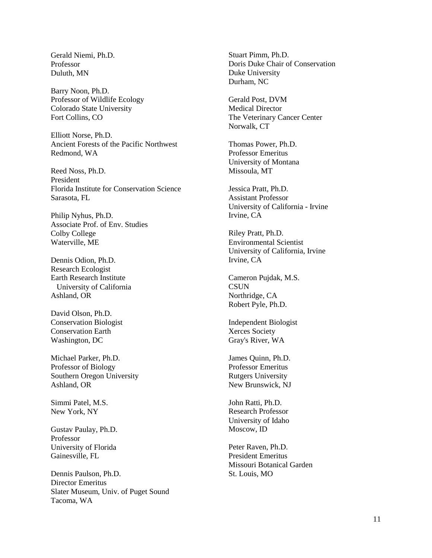Gerald Niemi, Ph.D. Professor Duluth, MN

Barry Noon, Ph.D. Professor of Wildlife Ecology Colorado State University Fort Collins, CO

Elliott Norse, Ph.D. Ancient Forests of the Pacific Northwest Redmond, WA

Reed Noss, Ph.D. President Florida Institute for Conservation Science Sarasota, FL

Philip Nyhus, Ph.D. Associate Prof. of Env. Studies Colby College Waterville, ME

Dennis Odion, Ph.D. Research Ecologist Earth Research Institute University of California Ashland, OR

David Olson, Ph.D. Conservation Biologist Conservation Earth Washington, DC

Michael Parker, Ph.D. Professor of Biology Southern Oregon University Ashland, OR

Simmi Patel, M.S. New York, NY

Gustav Paulay, Ph.D. Professor University of Florida Gainesville, FL

Dennis Paulson, Ph.D. Director Emeritus Slater Museum, Univ. of Puget Sound Tacoma, WA

Stuart Pimm, Ph.D. Doris Duke Chair of Conservation Duke University Durham, NC

Gerald Post, DVM Medical Director The Veterinary Cancer Center Norwalk, CT

Thomas Power, Ph.D. Professor Emeritus University of Montana Missoula, MT

Jessica Pratt, Ph.D. Assistant Professor University of California - Irvine Irvine, CA

Riley Pratt, Ph.D. Environmental Scientist University of California, Irvine Irvine, CA

Cameron Pujdak, M.S. **CSUN** Northridge, CA Robert Pyle, Ph.D.

Independent Biologist Xerces Society Gray's River, WA

James Quinn, Ph.D. Professor Emeritus Rutgers University New Brunswick, NJ

John Ratti, Ph.D. Research Professor University of Idaho Moscow, ID

Peter Raven, Ph.D. President Emeritus Missouri Botanical Garden St. Louis, MO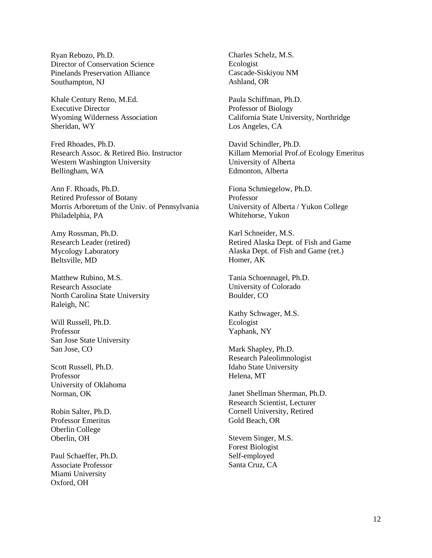Ryan Rebozo, Ph.D. Director of Conservation Science Pinelands Preservation Alliance Southampton, NJ

Khale Century Reno, M.Ed. Executive Director Wyoming Wilderness Association Sheridan, WY

Fred Rhoades, Ph.D. Research Assoc. & Retired Bio. Instructor Western Washington University Bellingham, WA

Ann F. Rhoads, Ph.D. Retired Professor of Botany Morris Arboretum of the Univ. of Pennsylvania Philadelphia, PA

Amy Rossman, Ph.D. Research Leader (retired) Mycology Laboratory Beltsville, MD

Matthew Rubino, M.S. Research Associate North Carolina State University Raleigh, NC

Will Russell, Ph.D. Professor San Jose State University San Jose, CO

Scott Russell, Ph.D. Professor University of Oklahoma Norman, OK

Robin Salter, Ph.D. Professor Emeritus Oberlin College Oberlin, OH

Paul Schaeffer, Ph.D. Associate Professor Miami University Oxford, OH

Charles Schelz, M.S. Ecologist Cascade-Siskiyou NM Ashland, OR

Paula Schiffman, Ph.D. Professor of Biology California State University, Northridge Los Angeles, CA

David Schindler, Ph.D. Killam Memorial Prof.of Ecology Emeritus University of Alberta Edmonton, Alberta

Fiona Schmiegelow, Ph.D. Professor University of Alberta / Yukon College Whitehorse, Yukon

Karl Schneider, M.S. Retired Alaska Dept. of Fish and Game Alaska Dept. of Fish and Game (ret.) Homer, AK

Tania Schoennagel, Ph.D. University of Colorado Boulder, CO

Kathy Schwager, M.S. Ecologist Yaphank, NY

Mark Shapley, Ph.D. Research Paleolimnologist Idaho State University Helena, MT

Janet Shellman Sherman, Ph.D. Research Scientist, Lecturer Cornell University, Retired Gold Beach, OR

Stevem Singer, M.S. Forest Biologist Self-employed Santa Cruz, CA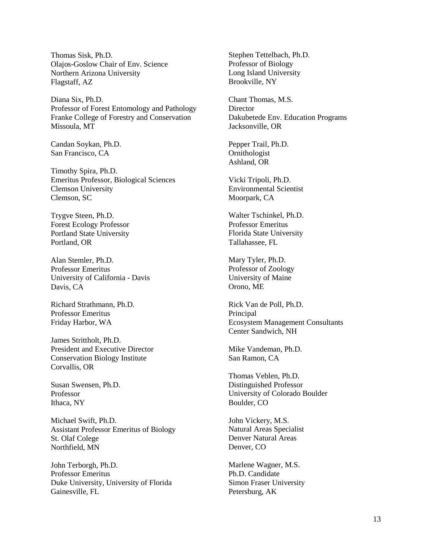Thomas Sisk, Ph.D. Olajos-Goslow Chair of Env. Science Northern Arizona University Flagstaff, AZ

Diana Six, Ph.D. Professor of Forest Entomology and Pathology Franke College of Forestry and Conservation Missoula, MT

Candan Soykan, Ph.D. San Francisco, CA

Timothy Spira, Ph.D. Emeritus Professor, Biological Sciences Clemson University Clemson, SC

Trygve Steen, Ph.D. Forest Ecology Professor Portland State University Portland, OR

Alan Stemler, Ph.D. Professor Emeritus University of California - Davis Davis, CA

Richard Strathmann, Ph.D. Professor Emeritus Friday Harbor, WA

James Strittholt, Ph.D. President and Executive Director Conservation Biology Institute Corvallis, OR

Susan Swensen, Ph.D. Professor Ithaca, NY

Michael Swift, Ph.D. Assistant Professor Emeritus of Biology St. Olaf Colege Northfield, MN

John Terborgh, Ph.D. Professor Emeritus Duke University, University of Florida Gainesville, FL

Stephen Tettelbach, Ph.D. Professor of Biology Long Island University Brookville, NY

Chant Thomas, M.S. **Director** Dakubetede Env. Education Programs Jacksonville, OR

Pepper Trail, Ph.D. Ornithologist Ashland, OR

Vicki Tripoli, Ph.D. Environmental Scientist Moorpark, CA

Walter Tschinkel, Ph.D. Professor Emeritus Florida State University Tallahassee, FL

Mary Tyler, Ph.D. Professor of Zoology University of Maine Orono, ME

Rick Van de Poll, Ph.D. Principal Ecosystem Management Consultants Center Sandwich, NH

Mike Vandeman, Ph.D. San Ramon, CA

Thomas Veblen, Ph.D. Distinguished Professor University of Colorado Boulder Boulder, CO

John Vickery, M.S. Natural Areas Specialist Denver Natural Areas Denver, CO

Marlene Wagner, M.S. Ph.D. Candidate Simon Fraser University Petersburg, AK